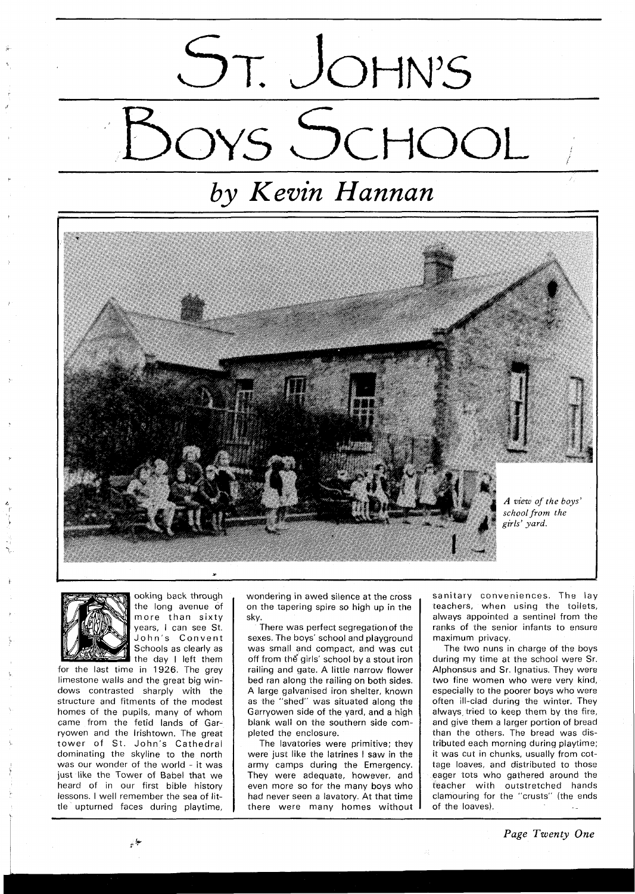## DT. JOHN'S<br>DYS SCHOOL

## *by Kevin Hannan*





ooking back through the long avenue of more than sixty years, I can see St. John's Convent Schools as clearly as the day I left them

for the last time in 1926. The grey limestone walls and the great big windows contrasted sharply with the structure and fitments of the modest homes of the pupils, many of whom came from the fetid lands of Garryowen and the Irishtown. The great tower of St. John's Cathedral dominating the skyline to the north was our wonder of the world - it was just like the Tower of Babel that we heard of in our first bible history lessons. I well remember the sea of little upturned faces during playtime,

wondering in awed silence at the cross on the tapering spire so high up in the sky.

There was perfect segregationof the sexes. The boys' school and playground was small and compact, and was cut off from the girls' school by a stout iron railing and gate. A little narrow flower bed ran along the railinq on both sides. A large galvanised iron shelter, known as the "shed" was situated along the Garryowen side of the yard, and a high blank wall on the southern side completed the enclosure.

The lavatories were primitive; they were just like the latrines I saw in the army camps during the Emerqency. They were adequate, however, and even more so for the many boys who had never seen a lavatory. At that time there were many homes without I sanitary conveniences. The lay teachers, when usinq the toilets, always appointed a sentinel from the ranks of the senior infants to ensure maximum privacy.

The two nuns in charqe of the boys during my time at the school were Sr. Alphonsus and Sr. Ignatius. They were two fine women who were very kind, especially to the poorer boys who were often ill-clad during the winter. They always tried to keep them by the fire, and give them a larqer portion of bread than the others. The bread was distributed each morning durinq playtime; it was cut in chunks, usually from cottage loaves, and distributed to those eager tots who gathered around the teacher with ourstretched hands clamouring for the "crusts" (the ends of the loaves).